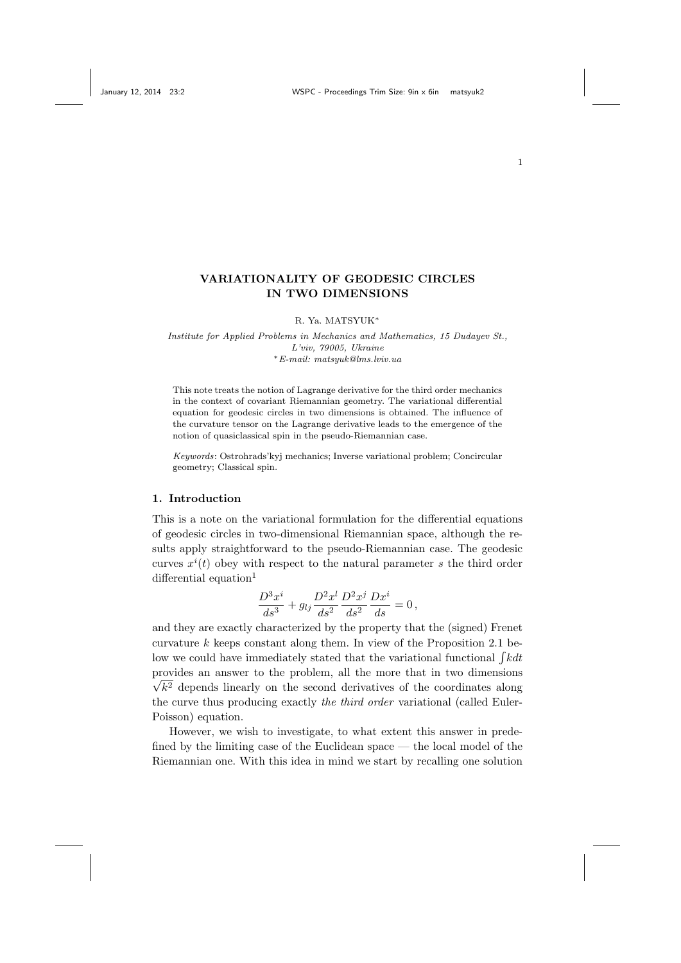## VARIATIONALITY OF GEODESIC CIRCLES IN TWO DIMENSIONS

R. Ya. MATSYUK<sup>∗</sup>

Institute for Applied Problems in Mechanics and Mathematics, 15 Dudayev St., L'viv, 79005, Ukraine <sup>∗</sup>E-mail: matsyuk@lms.lviv.ua

This note treats the notion of Lagrange derivative for the third order mechanics in the context of covariant Riemannian geometry. The variational differential equation for geodesic circles in two dimensions is obtained. The influence of the curvature tensor on the Lagrange derivative leads to the emergence of the notion of quasiclassical spin in the pseudo-Riemannian case.

Keywords: Ostrohrads'kyj mechanics; Inverse variational problem; Concircular geometry; Classical spin.

### 1. Introduction

This is a note on the variational formulation for the differential equations of geodesic circles in two-dimensional Riemannian space, although the results apply straightforward to the pseudo-Riemannian case. The geodesic curves  $x^{i}(t)$  obey with respect to the natural parameter s the third order differential equation<sup>1</sup>

$$
\frac{D^3x^i}{ds^3} + g_{lj}\frac{D^2x^l}{ds^2}\frac{D^2x^j}{ds^2}\frac{Dx^i}{ds} = 0\,,
$$

and they are exactly characterized by the property that the (signed) Frenet curvature  $k$  keeps constant along them. In view of the Proposition 2.1 below we could have immediately stated that the variational functional  $\int k dt$ provides an answer to the problem, all the more that in two dimensions √  $k<sup>2</sup>$  depends linearly on the second derivatives of the coordinates along the curve thus producing exactly the third order variational (called Euler-Poisson) equation.

However, we wish to investigate, to what extent this answer in predefined by the limiting case of the Euclidean space — the local model of the Riemannian one. With this idea in mind we start by recalling one solution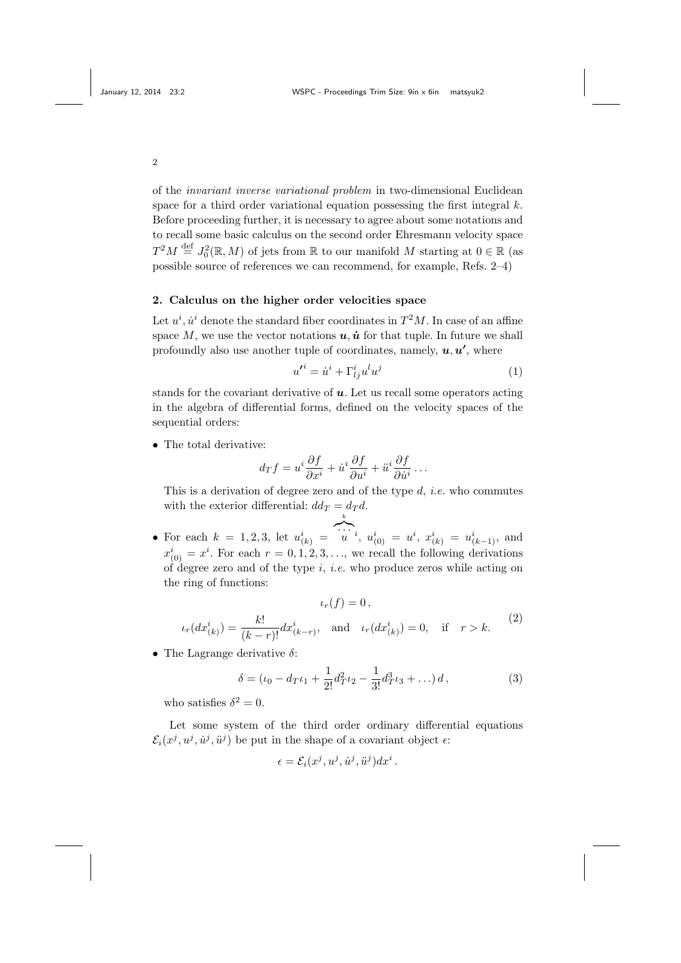of the invariant inverse variational problem in two-dimensional Euclidean space for a third order variational equation possessing the first integral  $k$ . Before proceeding further, it is necessary to agree about some notations and to recall some basic calculus on the second order Ehresmann velocity space  $T^2M\stackrel{\rm def}{=} J_0^2(\mathbb{R},M)$  of jets from  $\mathbb R$  to our manifold M starting at  $0\in\mathbb{R}$  (as possible source of references we can recommend, for example, Refs. 2–4)

### 2. Calculus on the higher order velocities space

Let  $u^i$ ,  $\dot{u}^i$  denote the standard fiber coordinates in  $T^2M$ . In case of an affine space M, we use the vector notations  $u, \dot{u}$  for that tuple. In future we shall profoundly also use another tuple of coordinates, namely,  $u, u'$ , where

$$
u^{\prime i} = \dot{u}^i + \Gamma^i_{lj} u^l u^j \tag{1}
$$

stands for the covariant derivative of  $u$ . Let us recall some operators acting in the algebra of differential forms, defined on the velocity spaces of the sequential orders:

• The total derivative:

$$
d_T f = u^i \frac{\partial f}{\partial x^i} + \dot{u}^i \frac{\partial f}{\partial u^i} + \ddot{u}^i \frac{\partial f}{\partial \dot{u}^i} \dots
$$

This is a derivation of degree zero and of the type  $d$ , *i.e.* who commutes with the exterior differential:  $dd_T = d_T d$ . k

• For each  $k = 1, 2, 3$ , let  $u_{(k)}^i =$  $\sum_{i=1}^{n} a_i^i, u^i_{(0)} = u^i, x^i_{(k)} = u^i_{(k-1)},$  and  $x_{(0)}^i = x^i$ . For each  $r = 0, 1, 2, 3, \ldots$ , we recall the following derivations of degree zero and of the type  $i$ , *i.e.* who produce zeros while acting on the ring of functions:

$$
\iota_r(f) = 0,
$$
  

$$
\iota_r(dx^i_{(k)}) = \frac{k!}{(k-r)!} dx^i_{(k-r)}, \text{ and } \iota_r(dx^i_{(k)}) = 0, \text{ if } r > k.
$$
 (2)

• The Lagrange derivative  $\delta$ :

$$
\delta = (\iota_0 - d_T \iota_1 + \frac{1}{2!} d_T^2 \iota_2 - \frac{1}{3!} d_T^3 \iota_3 + \ldots) d,
$$
\n(3)

who satisfies  $\delta^2 = 0$ .

Let some system of the third order ordinary differential equations  $\mathcal{E}_i(x^j, u^j, \dot{u}^j, \ddot{u}^j)$  be put in the shape of a covariant object  $\epsilon$ :

$$
\epsilon = \mathcal{E}_i(x^j, u^j, \dot{u}^j, \ddot{u}^j) dx^i.
$$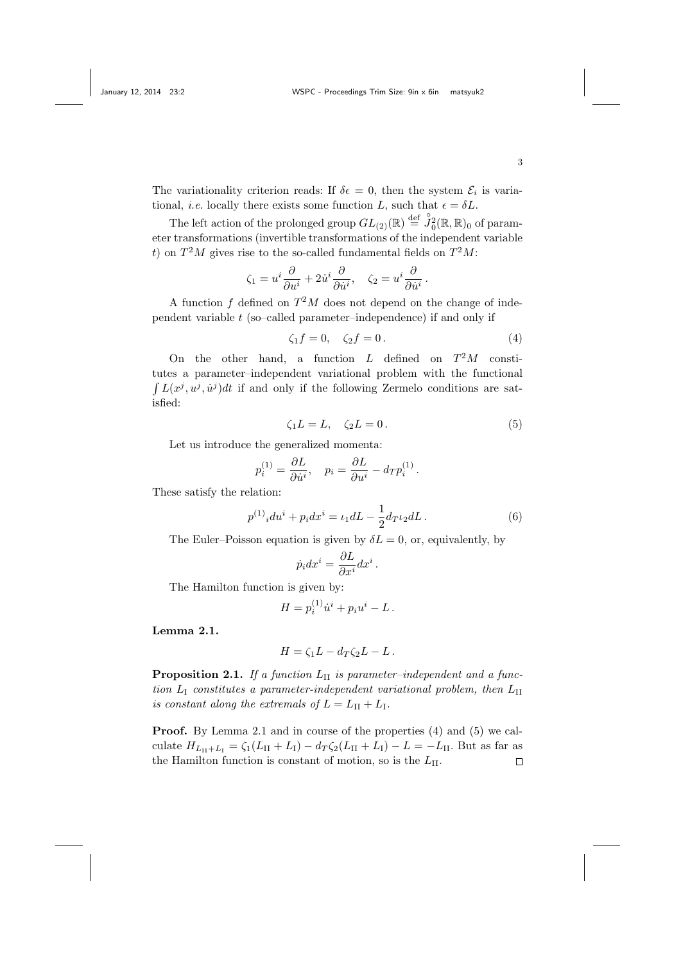The variationality criterion reads: If  $\delta \epsilon = 0$ , then the system  $\mathcal{E}_i$  is variational, *i.e.* locally there exists some function L, such that  $\epsilon = \delta L$ .

The left action of the prolonged group  $GL_{(2)}(\mathbb{R}) \stackrel{\text{def}}{=} \mathring{J}_0^2(\mathbb{R}, \mathbb{R})_0$  of parameter transformations (invertible transformations of the independent variable t) on  $T^2M$  gives rise to the so-called fundamental fields on  $T^2M$ :

$$
\zeta_1 = u^i \frac{\partial}{\partial u^i} + 2 \dot{u}^i \frac{\partial}{\partial \dot{u}^i}, \quad \zeta_2 = u^i \frac{\partial}{\partial \dot{u}^i}.
$$

A function  $f$  defined on  $T^2M$  does not depend on the change of independent variable  $t$  (so–called parameter–independence) if and only if

$$
\zeta_1 f = 0, \quad \zeta_2 f = 0. \tag{4}
$$

On the other hand, a function  $L$  defined on  $T^2M$  constitutes a parameter–independent variational problem with the functional  $\int L(x^j, u^j, \dot{u}^j)dt$  if and only if the following Zermelo conditions are satisfied:

$$
\zeta_1 L = L, \quad \zeta_2 L = 0. \tag{5}
$$

Let us introduce the generalized momenta:

$$
p_i^{(1)} = \frac{\partial L}{\partial \dot{u^i}}, \quad p_i = \frac{\partial L}{\partial u^i} - d_T p_i^{(1)}.
$$

These satisfy the relation:

$$
p^{(1)}{}_{i}du^{i} + p_{i}dx^{i} = \iota_{1}dL - \frac{1}{2}d_{T}\iota_{2}dL.
$$
 (6)

The Euler–Poisson equation is given by  $\delta L = 0$ , or, equivalently, by

$$
\dot{p}_i dx^i = \frac{\partial L}{\partial x^i} dx^i.
$$

The Hamilton function is given by:

$$
H = p_i^{(1)} \dot{u}^i + p_i u^i - L.
$$

Lemma 2.1.

$$
H = \zeta_1 L - d_T \zeta_2 L - L.
$$

**Proposition 2.1.** If a function  $L_{II}$  is parameter-independent and a function  $L_I$  constitutes a parameter-independent variational problem, then  $L_{II}$ is constant along the extremals of  $L = L_{II} + L_{I}$ .

Proof. By Lemma 2.1 and in course of the properties (4) and (5) we calculate  $H_{L_{II}+L_{I}} = \zeta_1(L_{II}+L_{I}) - d_T \zeta_2(L_{II}+L_{I}) - L = -L_{II}$ . But as far as the Hamilton function is constant of motion, so is the  $L_{\text{II}}$ .  $\Box$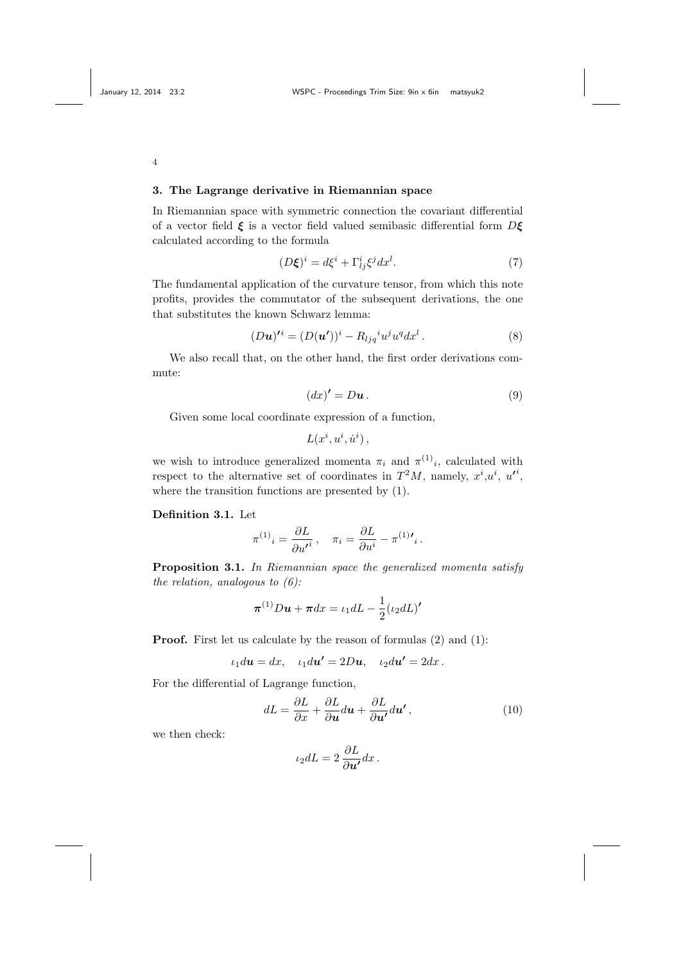### 3. The Lagrange derivative in Riemannian space

In Riemannian space with symmetric connection the covariant differential of a vector field  $\xi$  is a vector field valued semibasic differential form  $D\xi$ calculated according to the formula

$$
(D\xi)^i = d\xi^i + \Gamma^i_{lj}\xi^j dx^l. \tag{7}
$$

The fundamental application of the curvature tensor, from which this note profits, provides the commutator of the subsequent derivations, the one that substitutes the known Schwarz lemma:

$$
(D\boldsymbol{u})^{\prime i} = (D(\boldsymbol{u}^{\prime}))^{i} - R_{ljq}^{i} u^{j} u^{q} dx^{l}. \qquad (8)
$$

We also recall that, on the other hand, the first order derivations commute:

$$
(dx)' = D\mathbf{u}.
$$
 (9)

Given some local coordinate expression of a function,

$$
L(x^i, u^i, \dot{u}^i)
$$

we wish to introduce generalized momenta  $\pi_i$  and  $\pi^{(1)}_i$ , calculated with respect to the alternative set of coordinates in  $T^2M$ , namely,  $x^i, u^i, u'^i$ , where the transition functions are presented by (1).

# Definition 3.1. Let

$$
\pi^{(1)}{}_i = \frac{\partial L}{\partial u'}{}^i \,, \quad \pi_i = \frac{\partial L}{\partial u^i} - \pi^{(1)}{}'{}_i \,.
$$

Proposition 3.1. In Riemannian space the generalized momenta satisfy the relation, analogous to  $(6)$ :

$$
\boldsymbol{\pi}^{(1)}D\boldsymbol{u} + \boldsymbol{\pi}dx = \iota_1 dL - \frac{1}{2}(\iota_2 dL)'
$$

Proof. First let us calculate by the reason of formulas (2) and (1):

$$
\iota_1 d\mathbf{u} = dx, \quad \iota_1 d\mathbf{u'} = 2D\mathbf{u}, \quad \iota_2 d\mathbf{u'} = 2dx.
$$

For the differential of Lagrange function,

$$
dL = \frac{\partial L}{\partial x} + \frac{\partial L}{\partial u} du + \frac{\partial L}{\partial u'} du', \qquad (10)
$$

we then check:

$$
\iota_2 dL = 2 \, \frac{\partial L}{\partial \boldsymbol{u'}} dx \, .
$$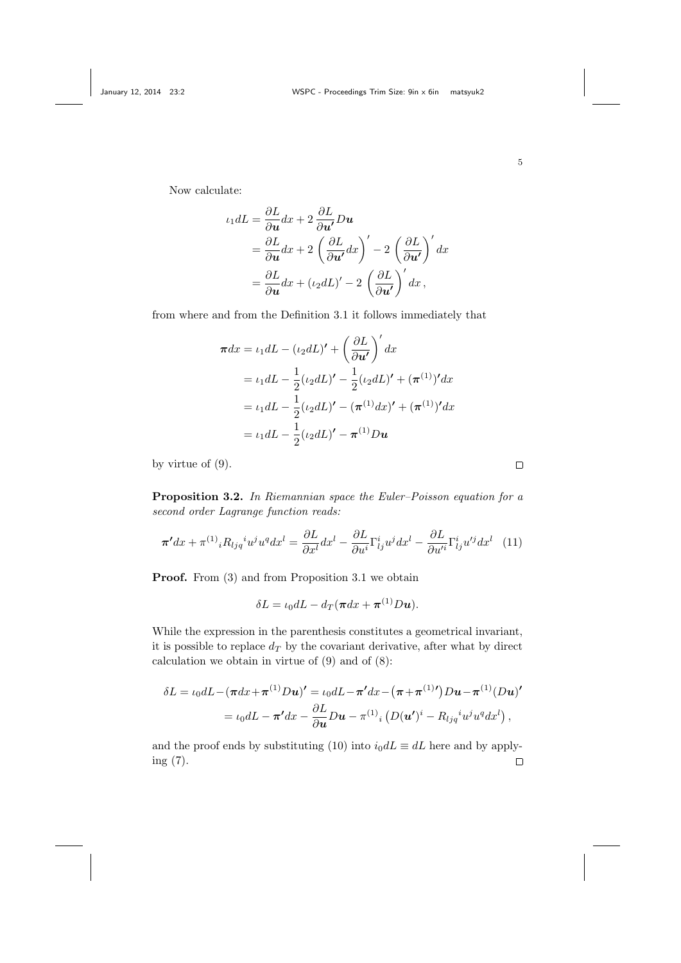Now calculate:

$$
\iota_1 dL = \frac{\partial L}{\partial u} dx + 2 \frac{\partial L}{\partial u'} Du
$$
  
=  $\frac{\partial L}{\partial u} dx + 2 \left( \frac{\partial L}{\partial u'} dx \right)' - 2 \left( \frac{\partial L}{\partial u'} \right)' dx$   
=  $\frac{\partial L}{\partial u} dx + (\iota_2 dL)' - 2 \left( \frac{\partial L}{\partial u'} \right)' dx$ ,

from where and from the Definition 3.1 it follows immediately that

$$
\pi dx = \iota_1 dL - (\iota_2 dL)' + \left(\frac{\partial L}{\partial u'}\right)' dx
$$
  
=  $\iota_1 dL - \frac{1}{2} (\iota_2 dL)' - \frac{1}{2} (\iota_2 dL)' + (\pi^{(1)})' dx$   
=  $\iota_1 dL - \frac{1}{2} (\iota_2 dL)' - (\pi^{(1)} dx)' + (\pi^{(1)})' dx$   
=  $\iota_1 dL - \frac{1}{2} (\iota_2 dL)' - \pi^{(1)} Du$ 

by virtue of (9).

Proposition 3.2. In Riemannian space the Euler–Poisson equation for a second order Lagrange function reads:

$$
\boldsymbol{\pi}' dx + \pi^{(1)}{}_i R_{ljq}{}^i u^j u^q dx^l = \frac{\partial L}{\partial x^l} dx^l - \frac{\partial L}{\partial u^i} \Gamma^i_{lj} u^j dx^l - \frac{\partial L}{\partial u'^i} \Gamma^i_{lj} u'^j dx^l \quad (11)
$$

Proof. From  $(3)$  and from Proposition 3.1 we obtain

$$
\delta L = \iota_0 dL - d_T(\pi dx + \pi^{(1)} Du).
$$

While the expression in the parenthesis constitutes a geometrical invariant, it is possible to replace  $d_T$  by the covariant derivative, after what by direct calculation we obtain in virtue of (9) and of (8):

$$
\delta L = \iota_0 dL - (\pi dx + \pi^{(1)} D\mathbf{u})' = \iota_0 dL - \pi' dx - (\pi + \pi^{(1)}') D\mathbf{u} - \pi^{(1)} (D\mathbf{u})'
$$

$$
= \iota_0 dL - \pi' dx - \frac{\partial L}{\partial \mathbf{u}} D\mathbf{u} - \pi^{(1)}{}_i (D(\mathbf{u}')^i - R_{ljq}{}^i u^j u^q dx^l) ,
$$

and the proof ends by substituting (10) into  $i_0 dL \equiv dL$  here and by applying (7). $\Box$ 

5

 $\Box$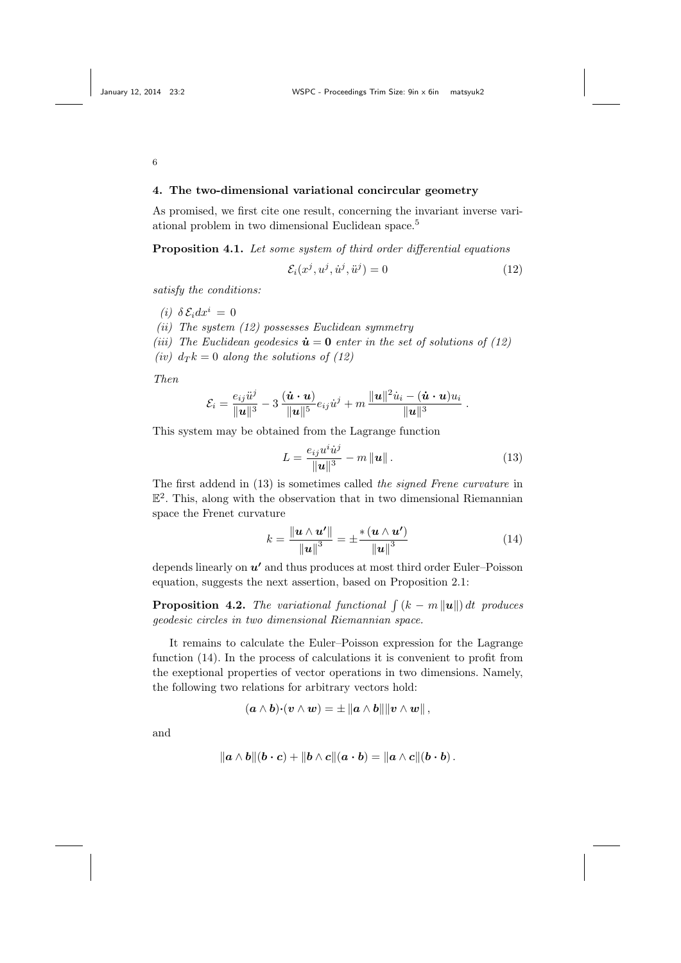### 4. The two-dimensional variational concircular geometry

As promised, we first cite one result, concerning the invariant inverse variational problem in two dimensional Euclidean space.<sup>5</sup>

Proposition 4.1. Let some system of third order differential equations

$$
\mathcal{E}_i(x^j, u^j, \dot{u}^j, \ddot{u}^j) = 0 \tag{12}
$$

satisfy the conditions:

(i)  $\delta \mathcal{E}_i dx^i = 0$ 

(ii) The system  $(12)$  possesses Euclidean symmetry

(iii) The Euclidean geodesics  $\dot{u} = 0$  enter in the set of solutions of (12) (iv)  $d_T k = 0$  along the solutions of (12)

Then

$$
\mathcal{E}_i = \frac{e_{ij}\ddot{u}^j}{\|\mathbf{u}\|^3} - 3\,\frac{(\dot{\mathbf{u}}\cdot\mathbf{u})}{\|\mathbf{u}\|^5}e_{ij}\dot{u}^j + m\,\frac{\|\mathbf{u}\|^2\dot{u}_i - (\dot{\mathbf{u}}\cdot\mathbf{u})u_i}{\|\mathbf{u}\|^3}.
$$

This system may be obtained from the Lagrange function

$$
L = \frac{e_{ij}u^i\dot{u}^j}{\|\mathbf{u}\|^3} - m\|\mathbf{u}\|.
$$
 (13)

The first addend in (13) is sometimes called the signed Frene curvature in E 2 . This, along with the observation that in two dimensional Riemannian space the Frenet curvature

$$
k = \frac{\left\| \boldsymbol{u} \wedge \boldsymbol{u}' \right\|}{\left\| \boldsymbol{u} \right\|^3} = \pm \frac{\ast \left( \boldsymbol{u} \wedge \boldsymbol{u}' \right)}{\left\| \boldsymbol{u} \right\|^3}
$$
(14)

depends linearly on  $u'$  and thus produces at most third order Euler–Poisson equation, suggests the next assertion, based on Proposition 2.1:

**Proposition 4.2.** The variational functional  $\int (k - m ||u||) dt$  produces geodesic circles in two dimensional Riemannian space.

It remains to calculate the Euler–Poisson expression for the Lagrange function (14). In the process of calculations it is convenient to profit from the exeptional properties of vector operations in two dimensions. Namely, the following two relations for arbitrary vectors hold:

$$
(\boldsymbol{a}\wedge\boldsymbol{b}){\boldsymbol{\cdot}}(\boldsymbol{v}\wedge\boldsymbol{w})=\pm\left\|\boldsymbol{a}\wedge\boldsymbol{b}\right\|\left\|\boldsymbol{v}\wedge\boldsymbol{w}\right\|,
$$

and

$$
\|\boldsymbol{a}\wedge\boldsymbol{b}\|( \boldsymbol{b}\cdot\boldsymbol{c})+\| \boldsymbol{b}\wedge\boldsymbol{c}\|(\boldsymbol{a}\cdot\boldsymbol{b})=\|\boldsymbol{a}\wedge\boldsymbol{c}\|(\boldsymbol{b}\cdot\boldsymbol{b})\,.
$$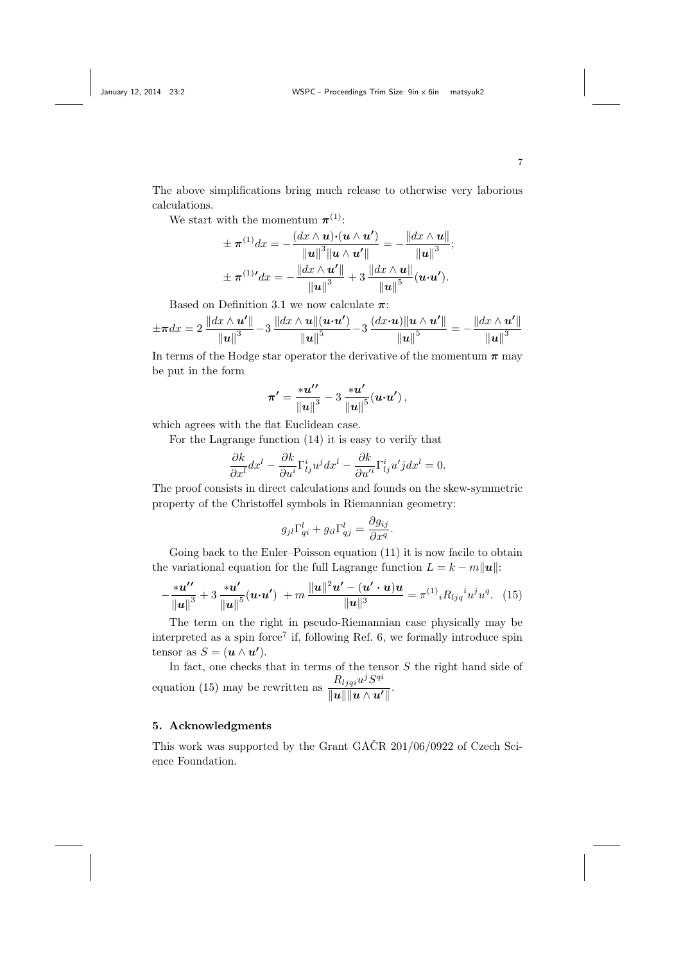The above simplifications bring much release to otherwise very laborious calculations.

We start with the momentum  $\boldsymbol{\pi}^{(1)}$ :

$$
\pm \pi^{(1)} dx = -\frac{(dx \wedge \mathbf{u}) \cdot (\mathbf{u} \wedge \mathbf{u'})}{\|\mathbf{u}\|^3 \|\mathbf{u} \wedge \mathbf{u'}\|} = -\frac{\|dx \wedge \mathbf{u}\|}{\|\mathbf{u}\|^3};
$$

$$
\pm \pi^{(1)} dx = -\frac{\|dx \wedge \mathbf{u'}\|}{\|\mathbf{u}\|^3} + 3\frac{\|dx \wedge \mathbf{u}\|}{\|\mathbf{u}\|^5} (\mathbf{u} \cdot \mathbf{u'}).
$$

Based on Definition 3.1 we now calculate  $\pi$ :

$$
\pm \pi dx = 2 \frac{\|dx \wedge u'\|}{\|u\|^3} - 3 \frac{\|dx \wedge u\| (u \cdot u')}{\|u\|^5} - 3 \frac{(dx \cdot u) \|u \wedge u'\|}{\|u\|^5} = -\frac{\|dx \wedge u'\|}{\|u\|^3}
$$

In terms of the Hodge star operator the derivative of the momentum  $\pi$  may be put in the form

$$
\pi' = \frac{iu''}{\|u\|^3} - 3 \frac{iu'}{\|u\|^5} (u \cdot u'),
$$

which agrees with the flat Euclidean case.

For the Lagrange function (14) it is easy to verify that

$$
\frac{\partial k}{\partial x^l}dx^l - \frac{\partial k}{\partial u^i}\Gamma^i_{lj}u^jdx^l - \frac{\partial k}{\partial u'^i}\Gamma^i_{lj}u'jdx^l = 0.
$$

The proof consists in direct calculations and founds on the skew-symmetric property of the Christoffel symbols in Riemannian geometry:

$$
g_{jl}\Gamma_{qi}^l + g_{il}\Gamma_{qj}^l = \frac{\partial g_{ij}}{\partial x^q}.
$$

Going back to the Euler–Poisson equation  $(11)$  it is now facile to obtain the variational equation for the full Lagrange function  $L = k - m||u||$ :

$$
-\frac{iu''}{\|u\|^3}+3\,\frac{iu'}{\|u\|^5}(u\cdot u')\,+m\,\frac{\|u\|^2u'-(u'\cdot u)u}{\|u\|^3}=\pi^{(1)}{}_iR_{ljq}{}^i u^j u^q.\quad (15)
$$

The term on the right in pseudo-Riemannian case physically may be interpreted as a spin force<sup>7</sup> if, following Ref. 6, we formally introduce spin tensor as  $S = (\boldsymbol{u} \wedge \boldsymbol{u}')$ .

In fact, one checks that in terms of the tensor  $S$  the right hand side of equation (15) may be rewritten as  $\frac{R_{ljqi}u^j S^{qi}}{||u||}$  $\frac{1}{\|u\|\|u\wedge u'\|}.$ 

## 5. Acknowledgments

This work was supported by the Grant GACR  $201/06/0922$  of Czech Science Foundation.